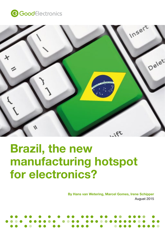



# Brazil, the new manufacturing hotspot for electronics?

By Hans van Wetering, Marcel Gomes, Irene Schipper August 2015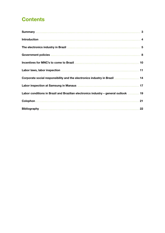# **Contents**

| Labor laws, labor inspection manufactured and the control of the control of the control of the control of the |    |
|---------------------------------------------------------------------------------------------------------------|----|
| Corporate social responsibility and the electronics industry in Brazil  14                                    |    |
|                                                                                                               |    |
| Labor conditions in Brazil and Brazilian electronics industry - general outlook  19                           |    |
|                                                                                                               | 21 |
|                                                                                                               | 22 |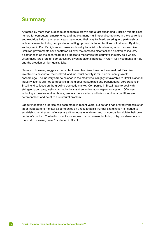# <span id="page-2-0"></span>**Summary**

Attracted by more than a decade of economic growth and a fast expanding Brazilian middle class hungry for computers, smartphones and tablets, many multinational companies in the electronics and electrical industry in recent years have found their way to Brazil, entering into partnerships with local manufacturing companies or setting up manufacturing facilities of their own. By doing so they avoid Brazil's high import taxes and qualify for a list of tax-breaks, which consecutive Brazilian governments have scattered all over the domestic electrical and electronics industry – a sector seen as the spearhead of a process to modernize the country's industry as a whole. Often these large foreign companies are given additional benefits in return for investments in R&D and the creation of high-quality jobs.

Research, however, suggests that so far these objectives have not been realized. Promised investments haven't all materialized, and industrial activity is still predominantly simple assemblage. The industry's trade balance in the meantime is highly unfavorable to Brazil. National industry itself is still not competitive in the global marketplace and transnational corporations in Brazil tend to focus on the growing domestic market. Companies in Brazil have to deal with stringent labor laws, well-organized unions and an active labor inspection system. Offenses including excessive working hours, irregular outsourcing and inferior working conditions are commonplace and point to a structural problem.

Labour inspection progress has been made in recent years, but so far it has proved impossible for labor inspectors to monitor all companies on a regular basis. Further examination is needed to establish to what extent offenses are either industry endemic and, or companies violate their own codes of conduct. The hellish conditions known to exist in manufacturing hotspots elsewhere in the world, however, haven't surfaced in Brazil.

G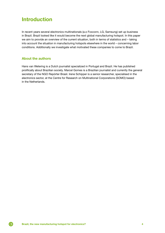# <span id="page-3-0"></span>Introduction

In recent years several electronics multinationals (a.o Foxconn, LG, Samsung) set up business in Brazil. Brazil looked like it would become the next global manufacturing hotspot. In this paper we aim to provide an overview of the current situation, both in terms of statistics and – taking into account the situation in manufacturing hotspots elsewhere in the world – concerning labor conditions. Additionally we investigate what motivated these companies to come to Brazil.

#### About the authors

Hans van Wetering is a Dutch journalist specialized in Portugal and Brazil. He has published prolifically about Brazilian society. Marcel Gomes is a Brazilian journalist and currently the general secretary of the NGO Repórter Brasil. Irene Schipper is a senior researcher, specialised in the electronics sector, at the Centre for Research on Multinational Corporations (SOMO) based in the Netherlands.

G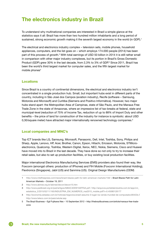# <span id="page-4-0"></span>The electronics industry in Brazil

To understand why multinational companies are interested in Brazil a simple glance at the statistics says it all: Brazil has more than two hundred million inhabitants and a long period of sustained, strong economic growth making it the seventh largest economy in the world (in GDP).<sup>1</sup>

The electrical and electronics industry complex – television sets, mobile phones, household appliances, computers, and the list goes on – which employs 174.000 people (2014) has been part of this process of growth.<sup>2</sup> With total earnings of USD 50 billion in 2014 it is still rather small in comparison with other major industry complexes, but its portion in Brazil's Gross Domestic Product (GDP) grew 30% in the last decade, from 2,3% to 3% of GDP.<sup>3</sup> Since 2011, Brazil has been the world's third largest market for computer sales, and the fifth largest market for mobile phones<sup>4</sup>

#### Locations

Since Brazil is a country of continental dimensions, the electrical and electronics industry isn't concentrated in a single production hub. Small, but important hubs exist in different parts of the country, including in São José dos Campos (aviation industry), Recife (software – Samsung, Motorola and Microsoft) and Curitiba (Siemens and Positivo Informática). However, two major hubs stand apart: the Metropolitan Area of Campinas, state of São Paulo, and the Manaus Free Trade Zone in the state of Amazonas, where an impressive list of tax-breaks at federal, state and municipal-level (reduction of 75% of Income Tax, reduction of up to 88% of Import Duty and other benefits – the price of land for construction of the industry for instance is symbolic: about USD 0,30/square meter) have attracted major internationally renowned technology companies.<sup>5</sup>

#### Local companies and MNC's

Top ICT brands like LG, Samsung, Microsoft, Panasonic, Dell, Intel, Toshiba, Sony, Philips and Sharp, Apple, Lenovo, HP, Acer, Brother, Canon, Epson, Hitachi, Ericsson, Motorola, STMicroelectronics, Qualcomp, Toshiba, Western Digital, Xerox, NEC, Nokia, Siemens, Cisco and Huawei have moved into to Brazil in the last decade. They have done so not only to try to increase their retail sales, but also to set up production facilities, or buy existing local production facilities.

Major international Electronics Manufacturing Services (EMS) providers also found their way, like Foxconn (amongst others: production of IPhones) and FIH Mobile (Foxconn International Holding), Flextronics (Singapore), Jabil (US) and Sanmina (US). Original Design Manufacturers (ODM)

<sup>1</sup> <http://www.intelfreepress.com/news/brazil-blazes-path-for-latin-american-markets/158/>– Brazil Blazes Path for Latin American Markets – October 19, 2011

<sup>2</sup> <http://www.abinee.org.br/abinee/decon/decon15.htm>

<sup>3</sup> <http://www.pedbrasil.org.br/ped/artigos/A864C4DD910AFFAA.pdf /> [http://arquivos.portaldaindustria.com.br/app/cni\\_](http://arquivos.portaldaindustria.com.br/app/cni_estatistica_2/2015/02/11/165/INDUSTRIA_EM_NUMEROS_mai2015_mobile.pdf?r=0.45080128177) [estatistica\\_2/2015/02/11/165/INDUSTRIA\\_EM\\_NUMEROS\\_mai2015\\_mobile.pdf?r=0.45080128177](http://arquivos.portaldaindustria.com.br/app/cni_estatistica_2/2015/02/11/165/INDUSTRIA_EM_NUMEROS_mai2015_mobile.pdf?r=0.45080128177)

<sup>4</sup> http://economia.estadao.com.br/noticias/negocios,brasil-assume-3-lugar-na-venda-mundial-de-computador,80422e / <http://www.teleco.com.br/pais/celular.asp>

<sup>5</sup> The Brazil Business – Egil Fujikawa Nes – 10 September 2012 – [http://thebrazilbusiness.com/article/manaus-free-trade](http://thebrazilbusiness.com/article/manaus-free-trade-zone)[zone](http://thebrazilbusiness.com/article/manaus-free-trade-zone)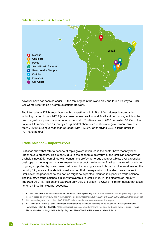#### Selection of electronic hubs in Brazil



however have not been so eager. Of the ten largest in the world only one found its way to Brazil: Cal-Comp Electronics & Communications (Taiwan).

Top international ICT brands face tough competition within Brazil from domestic companies including Itautec in Jundiaí/SP (a.o. consumer electronics) and Positivo informática, which is the tenth largest computer manufacturer in the world. Positivo alone in 2013 controlled 16.7% of the national PC-market and still enjoys a big market share in education and government-projects: 40.7% (2012).6 Lenovo was market-leader with 18.35%, after buying CCE, a large Brazilian PC-manufacturer.<sup>7</sup>

#### Trade balance – import/export

Statistics show that after a decade of rapid growth revenues in the sector have recently been under severe pressure. This is partly due to the economic downturn of the Brazilian economy as a whole since 2013, combined with consumers preferring to buy cheaper tablets over expensive desktops. In the long term market researchers expect the domestic Brazilian market will continue to grow, supported by government policy and increasing access to broadband Internet around the country.<sup>8</sup> A glance at the statistics makes clear that the expansion of the electronics market in Brazil over the past decade has not, as might be expected, resulted in a positive trade balance. The industry's trade balance is highly unfavorable to Brazil. In 2014, the electronics industry imported USD 41.1 billion and exported only USD 6.5 billion – a USD 34.6-billion deficit that takes its toll on Brazilian external accounts.

**G** 

<sup>6</sup> PC Business in Brazil – An overview – 28 december 2012 – pavanvvyas – [http://www.slideshare.net/pavanvvyas/pc-busi](http://www.slideshare.net/pavanvvyas/pc-business-in-brazil-an-overview)[ness-in-brazil-an-overview](http://www.slideshare.net/pavanvvyas/pc-business-in-brazil-an-overview) / http://www.aomevents.com/media/files/ISS%202012/ISS%20SESSION%208/Montanari.pdf 7 http://www.baguete.com.br/noticias/11/11/2013/lenovo-lider-nacional-no-mercado-de-pcs

<sup>8</sup> BMI Research – Brazil's Local Technology Manufacturing Risks and Rewards Finely Balanced – Brazil | Information

Technology | Mon Jun 15, 2015 / <http://thebrazilbusiness.com/article/plano-nacional-de-banda-larga-in-brazil> – Plano Nacional de Banda Larga in Brazil – Egil Fujikawa Nes – The Brazil Business – 28 March 2013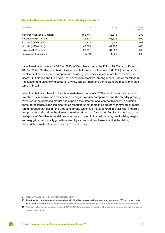|           |           | 2014 X |
|-----------|-----------|--------|
|           |           | 2013   |
| 156,745   | 153,816   | $-2%$  |
| 72.574    | 65,322    | $-10%$ |
| 7.218     | 6,552     | $-9%$  |
| 43.599    | 41,150    | $-6%$  |
| $-36.381$ | $-34.598$ | $-5%$  |
| 177.9     | 174.1     | $-2%$  |
|           | 2013      | 2014   |

#### Table 1 – Key electrical and electronics industry indicators<sup>9</sup>

Latin America accounts for 56.5% (2013) of Brazilian exports, the EU for 13.8%, and US for 18.5% (2014). On the other hand, Asia accounts for much of the import (66.2 %). Imports focus on electrical and computer components including processors, micro-controllers, memories, lasers, LED diodes and LCD-type unc onventional displays, among others. Cables for telecommunication and electricity distribution, wires, optical fibers and connectors are mostly manufactured in Brazil.

What then is the explanation for this remarkable export-deficit? The combination of stagnating investments in innovation and research by major Brazilian companies<sup>10</sup> and the steadily growing revenues in the domestic market has crippled their international competitiveness. In addition, some of the largest Brazilian electronics manufacturing companies are now controlled by major foreign groups that design the products abroad which are manufactured in Brazil with imported components and sold on the domestic market rather than for export. And last but not least the cost-price of Brazilian industrial produce has exploded in the last decade, due to rising wages and negligible productivity growth caused by a combination of insufficient skilled labor, inadequate infrastructure and excessive bureaucracy.11

<sup>9</sup> <http://www.abinee.org.br/ing/informac/decon.htm>

<sup>10</sup> Investments in innovation and research by major Brazilian companies have been stagnant since 2005, and are expected to fall further in 2015 http://exame.abril.com.br/economia/noticias/brasil-fica-em-5o-como-destino-de-investimentos.

<sup>11</sup> [http://www1.folha.uol.com.br/mercado/2014/08/1502977-produzir-no-brasil-e-23-mais-caro-do-que-nos-eua-de-acordo](http://www1.folha.uol.com.br/mercado/2014/08/1502977-produzir-no-brasil-e-23-mais-caro-do-que-nos-eua-de-acordo-com-estudo.shtml)[com-estudo.shtml](http://www1.folha.uol.com.br/mercado/2014/08/1502977-produzir-no-brasil-e-23-mais-caro-do-que-nos-eua-de-acordo-com-estudo.shtml)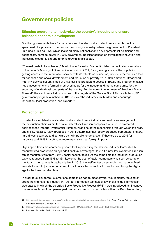# <span id="page-7-0"></span>Government policies

#### Stimulus programs to modernize the country's industry and ensure balanced economic development

Brazilian governments have for decades seen the electrical and electronics complex as the spearhead of a process to modernize the country's industry. When the government of President Luiz Inácio Lula da Silva, which included many nationalist and developmentalist politicians and economists, came to power in 2003, government policies focused on stimulating innovation and increasing electronic exports to drive growth in this sector.

"The real goals to be achieved," Maximiliano Salvadori Martinhão, telecommunications secretary of the nation's Ministry of Communication said in 2011, "is a growing share of the population getting access to the information society, with its effects on education, income, etcetera, as a tool for economic and social development and reduction of poverty."<sup>12</sup> In 2010 a National Broadband Plan (PNBL) was set up, aimed at universalizing broadband access in Brazil. The program entailed huge investments and formed another stimulus for the industry and, at the same time, for the economy of underdeveloped parts of the country. For the current government of President Dilma Rousseff, the electronics industry is one of the targets of the Greater Brazil Plan – a billion-USD government program launched in 2011 to lower the industry's tax burden and encourage innovation, local production, and exports.13

#### Protectionism

In order to stimulate domestic electrical and electronics industry and realize an enlargement of the production chain within the national territory, Brazilian companies were to be protected against cheap imports. Preferential treatment was one of the mechanisms through which this was, and still is, realized. A law proposed in 2014 determines that locally produced computers, printers, hard drives, scanners and software can win public tenders, even if they are up to 20% for hardware and 18% for software, more expensive than foreign imports.

High import taxes are another important tool in protecting the national industry. Domestically manufactured production enjoys additional tax advantages. In 2011 a new law exempted Brazilian tablet-manufacturers from 9.25% social security taxes. At the same time the industrial production tax was reduced from 15% to 3%. Lowering the cost of tablet-computers was seen as complementary to the national broadband plan. In 2013, the welfare tax on smartphones made in Brazil was abolished, in just another attempt to stimulate technological innovation and bring the digital age to the lower middle class.

In order to qualify for tax-exemptions companies had to meet several requirements, focused on strengthening national industry. In 1991 an information technology law (nova lei de informática) was passed in which the so called Basic Productive Process (PPB)<sup>14</sup> was introduced: an incentive that reduces taxes if companies perform certain production activities within the Brazilian territory

<sup>12</sup> [http://www.intelfreepress.com/news/brazil-blazes-path-for-latin-american-markets/158/,](http://www.intelfreepress.com/news/brazil-blazes-path-for-latin-american-markets/158/) Brazil Blazes Path for Latin American Markets, October 19, 2011.

<sup>13</sup> http://www.brasilmaior.mdic.gov.br/images/data/201411/f97a72083144d28b26013b7261e7e06b.pdf

<sup>14</sup> Processo Produtivo Básico, known as PPB.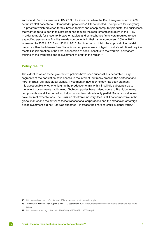and spend 5% of its revenue in R&D.<sup>15</sup> So, for instance, when the Brazilian government in 2005 set up its "PC conectado – Computador para todos" (PC connected – computers for everyone) – a program which provided for tax-breaks for low-end cheap computer-products, the businesses that wanted to take part in this program had to fulfill the requirements laid down in the PPB. In order to apply for these tax breaks on tablets and smartphones firms were required to use a specified percentage Brazilian-made components in their tablet computers: 20% in 2012, increasing to 30% in 2013 and 50% in 2015. And in order to obtain the approval of industrial projects within the Manaus Free Trade Zone companies were obliged to satisfy additional requirements like job creation in the area, concession of social benefits to the workers, permanent training of the workforce and reinvestment of profit in the region.<sup>16</sup>

#### Policy results

The extent to which these government policies have been successful is debatable. Large segments of the population have access to the internet, but many areas in the northeast and north of Brazil still lack digital signals. Investment in new technology has been stagnant. It is questionable whether enlarging the production chain within Brazil did substantialize to the extent governments had in mind. Tech-companies have indeed come to Brazil, but many components are still imported, so industrial modernization is only partial. So far, export levels have not met expectations. The Brazilian electronic industry itself is still not competitive in the global market and the arrival of these transnational corporations and the expansion of foreign direct investment did not – as was expected – increase the share of Brazil in global trade.<sup>17</sup>

<sup>15</sup> <http://www.liraa.com.br/conteudo/2562/processo-produtivo-basico-ppb>

<sup>16</sup> The Brazil Business – Egil Fujikawa Nes – 10 September 2012 ([http://thebrazilbusiness.com/article/manaus-free-trade](http://thebrazilbusiness.com/article/manaus-free-trade-zone)[zone\)](http://thebrazilbusiness.com/article/manaus-free-trade-zone).

<sup>17</sup> http://www.anpec.org.br/encontro2008/artigos/200807211355590-.pdf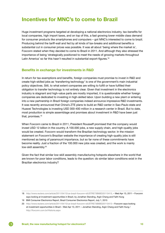### <span id="page-9-0"></span>Incentives for MNC's to come to Brazil

Huge investment programs targeted at developing a national electronics industry, tax-benefits for local companies, high import taxes, and on top of this, a fast growing lower middle class demand for consumer products like smartphones and computers – got MNC's interested to come to brazil. Producing behind the tariff-wall and fed by all kinds of tax-breaks and additional benefits a substantial cut in consumer prices was possible. It was all about 'being where the market is', Foxconn stated when they decided to come to Brazil in 2011. And although they also stressed the importance of being 'strategically positioned to meet the needs of growing markets throughout Latin America' so far this hasn't resulted in substantial export-figures.<sup>18</sup>

#### Benefits in exchange for investments in R&D

In return for tax-exemptions and benefits, foreign companies must promise to invest in R&D and create high-skilled jobs as 'transferring technology' is one of the government's main industrial policy objectives. Still, to what extent companies are willing to fulfill or have fulfilled their obligation to transfer technology is not entirely clear. Given that investment in the electronics industry is stagnant and high-value parts are mostly imported, it is questionable whether foreign companies are dedicated to investing in high-skilled labor. Upon building a new plant or entering into a new partnership in Brazil foreign companies indeed announce impressive R&D investments. It was recently announced that China's ZTE plans to build an R&D center in Sao-Paulo state and Huawei Technologies is investing USD 300-400 million in a research center in Brazil. But to date, most production is simple assemblage and promises about investment in R&D have been just that, promises.19

When Foxconn came to Brazil in 2011, President Rousseff promised that the company would invest USD 12 billion in the country. A 100.000 jobs, a new supply chain, and high-quality jobs would be created. Foxconn would transform the Brazilian technology sector. In the mission statement on Foxconn's Brazilian website the importance of creating high-quality jobs is still mentioned as being of paramount importance, but so far none of these commitments have become reality. Just a fraction of the 100.000 new jobs was created, and the work is mainly low-skill assembly.<sup>20</sup>

Given the fact that similar low-skill assembly manufacturing hotspots elsewhere in the world that are known for poor labor conditions, leads to the question: do similar labor conditions exist in the Brazilian electronics industry?

<sup>18</sup> http://www.reuters.com/article/2011/04/13/us-brazil-foxconn-idUSTRE73B6BD20110413. – Wed Apr 13, 2011 – Foxconn says looking at investment opportunities in Brazil, by Jonathan Standing, Argin Chang and Faith Hung

<sup>19</sup> BMI Consumer Electronics Report, Brazil Consumer Electronics Report, July 1, 2015

<sup>20</sup> <http://www.reuters.com/article/2011/04/13/us-brazil-foxconn-idUSTRE73B6BD20110413>- Foxconn says looking at investment opportunities in Brazil – Wed Apr 13, 2011 – Jonathan Standing, Argin Chang and Faith Hung / <http://foxconn.com.br/Historia.aspx>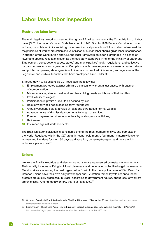# <span id="page-10-0"></span>Labor laws, labor inspection

#### Restrictive labor laws

The main legal framework concerning the rights of Brazilian workers is the Consolidation of Labor Laws (CLT), the country's Labor Code launched in 1943. Brazil's 1988 Federal Constitution, now in force, consolidated in its social rights several items stipulated on CLT, and also determined that the principles of worker protection and valorization of human labor should guide labor jurisprudence. In support of the Constitution and CLT, the legal framework on labor is grounded in a series of lower and specific regulations such as the regulatory standards (NRs) of the Ministry of Labor and Employment, constructions codes, states' and municipalities' health regulations, and collective bargain conventions and agreements. Compliance with these regulations is mandatory for private and public companies, state agencies of direct and indirect administration, and agencies of the Legislative and Judicial branches that have employees hired under CLT.

Stripped down to its essentials CLT regulates the following:

- 1. Employment protected against arbitrary dismissal or without a just cause, with payment of compensation;
- 2. Minimum wage, able to meet workers' basic living needs and those of their families;
- 3. Irreducibility of wages;
- 4. Participation in profits or results as defined by law:
- 5. Regular workweek not exceeding forty-four hours;
- 6. Annual vacations paid at a value at least one third above normal wages;
- 7. Advance notice of dismissal proportional to length of service:
- 8. Premium payment for strenuous, unhealthy or dangerous activities;
- 9. Retirement;
- 10. Insurance against work accidents.

The Brazilian labor legislation is considered one of the most comprehensive, and complex, in the world. Regulated within the CLT are a thirteenth paid month, four month maternity leave for women and five days for men, 30 days paid vacation, company-transport and meals which includes a place to eat. $21$ 

#### Unions

e)

Workers in Brazil's electrical and electronics industry are represented by metal workers' unions. Their activity includes ratifying individual dismissals and negotiating collective bargain agreements. Metal workers are among the best organized in Brazil. In the metropolitan area of São Paulo for instance unions have their own daily newspaper and TV-station. When layoffs are announced, protests are quickly organized. In Brazil, according to government figures, about 20% of workers are unionized. Among metalworkers, this is at least 40%.<sup>22</sup>

<sup>21</sup> Common Benefits in Brazil, Andréa Novais, The Brazil Business, 17 December 2013 – h[ttp://thebrazilbusiness.com/](http://thebrazilbusiness.com/article/common-benefits-in-brazil) [article/common-benefits-in-brazil](http://thebrazilbusiness.com/article/common-benefits-in-brazil).

<sup>22</sup> Eric Ehrmann – High Flying Apple Hits Turbulence In Brazil, Foxconn's Gou Calls Workers 'Animals' – 07/02/2012 – [http://www.huffingtonpost.com/eric-ehrmann/apple-brazil-foxconn\\_b\\_1463666.html.](http://www.huffingtonpost.com/eric-ehrmann/apple-brazil-foxconn_b_1463666.html)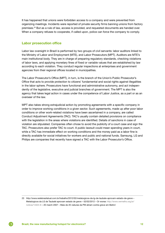It has happened that unions were forbidden access to a company and were prevented from organizing meetings. Incidents were reported of private security firms banning unions from factory premises.23 But as a rule of law, access is provided, and requested documents are handed over. When a company refuses to cooperate, if called upon, police can force the company to comply.

#### Labor prosecution office

Labor law oversight in Brazil is performed by two groups of civil servants: labor auditors linked to the Ministry of Labor and Employment (MTE), and Labor Prosecutors (MPT). Auditors are MTE's main institutional body. They are in charge of preparing regulatory standards, checking violations of labor laws, and applying monetary fines of fixed or variable values that are established by law according to each violation. They conduct regular inspections at enterprises and government agencies from their regional offices located in municipalities.

The Labor Prosecutor's Office (MPT), in turn, is the branch of the Union's Public Prosecutor's Office that acts to provide protection to citizens' fundamental and social rights against illegalities in the labor sphere. Prosecutors have functional and administrative autonomy, and act independently of the legislative, executive and judicial branches of government. The MPT is also the agency that takes legal action in cases under the competence of Labor Justice, as a part or as an overseer of the law.

MPT also takes strong extrajudicial action by promoting agreements with a specific company in order to improve working conditions in a given sector. Such agreements, made up after poor labor conditions or other work-related violations have been ascertained in a company, are called Conduct Adjustment Agreements (TAC). TAC's usually contain detailed provisions on compliance with the legislation in the areas where violations are identified. Details of sanctions in case of violation are stipulated. Companies often chose to avoid the publicity of a court case and sign the TAC. Prosecutors also prefer TAC to court. A public lawsuit could mean spending years in court, while a TAC has immediate effect on working conditions and the money paid as a labor fine is directly available for social initiatives for workers and public and national funds. Samsung, LG and Philips are companies that recently have signed a TAC with the Labor Prosecutor's Office.

<sup>23</sup> http://www.redebrasilatual.com.br/trabalho/2012/02/metalurgicos-da-lg-de-taubate-aprovam-estado-de-greve – Metalúrgicos da LG de Taubaté aprovam estado de greve – 02/02/2012 – Or worse: [http://www.vermelho.org.br/](http://www.vermelho.org.br/noticia/14324-8) [noticia/14324-8](http://www.vermelho.org.br/noticia/14324-8) – 20 march 2007 – Mais de 20 viaturas da PM atiram contra greve em Betim/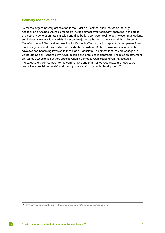#### Industry associations

By far the largest industry association is the Brazilian Electrical and Electronics Industry Association or Abinee. Abinee's members include almost every company operating in the areas of electricity generation, transmission and distribution, computer technology, telecommunications, and industrial electronic materials. A second major organization is the National Association of Manufacturers of Electrical and electronics Products (Eletros), which represents companies from the white goods, audio and video, and portables industries. Both of these associations, so far, have avoided becoming involved in these labour conflicts. The extent that they are engaged in Corporate Social Responsibility (CSR) policies and practices is debatable. The mission statement on Abinee's website is not very specific when it comes to CSR issues given that it states "To safeguard the integration to the community", and that Abinee recognizes the need to be "sensitive to social demands" and the importance of sustainable development.24

G

<sup>24</sup> <http://www.abinee.org.br/ing/> + http://www.abinee.org.br/ing/abinee/associa/emptl.htm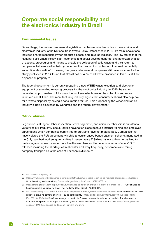# <span id="page-13-0"></span>Corporate social responsibility and the electronics industry in Brazil

#### Environmental Issues

By and large, the main environmental legislation that has required most from the electrical and electronics industry is the National Solid Waste Policy, established in 2010. Its main innovations included shared responsibility for product disposal and 'reverse logistics.' The law states that the National Solid Waste Policy is an "economic and social development tool characterized by a set of actions, procedures and means to enable the collection of solid waste and their return to companies to be reused in their cycles or in other production cycles, or other environmentally sound final destination". However, four years later several companies still have not complied. A study published in 2014 found that almost half or 40% of all waste produced in Brazil is still not disposed of properly.<sup>25</sup>

The federal government is currently preparing a new WEEE (waste electrical and electronic equipment or so-called e-waste) proposal for the electronics industry. In 2015 the sector generated approximately 1.2 thousand tons of e-waste; however the collection and reuse initiatives are still rare. The manufacturing industry argues that consumers should also help pay for e-waste disposal by paying a consumption tax-fee. This proposal by the wider electronics industry is being discussed by Congress and the federal government.<sup>26</sup>

#### 'Minor abuses'

Legislation is stringent, labor inspection is well organized, and union-membership is substantial, yet strikes still frequently occur. Strikes have taken place because internal training and employee career plans which companies committed to providing have not materialized. Companies that have violated the PLR agreement, which is a results-based bonus payment scheme, mandated in the CLT, have had workers go on strikes in recent years.<sup>27</sup> Strikes have also been organized to protest against non-existent or poor health care plans and to denounce various 'minor' CLT offenses including the shortage of fresh water and, very frequently, poor meals and failing company transport as is the case at Foxconn in Jiundai.28

<sup>25</sup> http://www.abrelpe.org.br/

<sup>26</sup> http://www.brasil.gov.br/economia-e-emprego/2014/02/estudo-sobre-logistica-de-residuos-eletronicos-e-divulgado Complete study available at [http://www.mdic.gov.br/arquivos/dwnl\\_1362058667.pdf](http://www.mdic.gov.br/arquivos/dwnl_1362058667.pdf).

<sup>27</sup> <http://olhardigital.uol.com.br/pro/noticia/funcionarios-da-foxconn-entram-em-greve-no-brasil/44117>- Funcionários da Foxconn entram em greve no Brasil -Por Redação Olhar Digital – 15/09/2014.

<sup>28</sup> <http://www.techguru.com.br/foxconn-de-jundiai-pode-entrar-em-greve-na-semana-que-vem/> – Foxconn de Jundiaí pode entrar em greve na semana que vem - 26 de abril de 2012 / [http://portaljj.com.br/interna.asp?Int\\_IDSecao=3&Int\\_](http://portaljj.com.br/interna.asp?Int_IDSecao=3&Int_ID=176018) [ID=176018](http://portaljj.com.br/interna.asp?Int_IDSecao=3&Int_ID=176018) – 25/04/2012 – Greve ameaça produção da Foxconn em Jundiaí – Jornal de Jundiai / Trabalhadores da montadora de produtos da Apple entram em greve no Brasil – Por Bruno Micali – 24 abr 2015 – [http://www.jj.com.br/](http://www.jj.com.br/noticias-14410-funcionarios-da-foxconn-i-entram-em-greve-) [noticias-14410-funcionarios-da-foxconn-i-entram-em-greve-](http://www.jj.com.br/noticias-14410-funcionarios-da-foxconn-i-entram-em-greve-).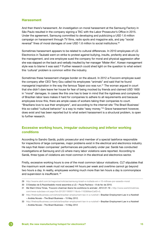#### Harassment

And then there's harassment. An investigation on moral harassment at the Samsung Factory in São Paulo resulted in the company signing a TAC with the Labor Prosecutor's Office in 2015. Under the agreement, Samsung committed to developing and publicizing a USD 1.6 million campaign on harassment through TV films, radio spots and magazine ads, and pay "social reversal" fines of moral damages of over USD 1.6 million to social institutions.29

Sometimes harassment appears to be related to cultural differences. In 2010 employees of LG Electronics in Taubaté went on strike to protest against bullying, insults, profanity and abuse by the management, and one employee sued the company for moral and physical aggression after she was slapped on the back and verbally insulted by her manager 'Mister Ahn'. Korean management style was to blame it was said.<sup>30</sup> Further research could shed light on the question to what extent this 'cultural' problem is common within the industry.

Sometimes these harassment charges border on the absurd. In 2012 a Foxconn-employee sued the company after CEO Terry Gou called his employees "animals" and said that he found managerial inspiration in the way the famous Taipei-zoo was run.<sup>31</sup> The woman argued in court that she didn't dare leave her house for fear of being mocked by friends and claimed USD 1600 in "moral" damages. In cases like this one has to bear in mind that the rigidness and complexity of Brazilian labor laws makes it hard for companies to adhere to all requirements and because employees know this, there are ample cases of workers taking their companies to court. "Brazilians love to sue their employers", and according to the internet site 'The Brazil Business' this so-called "cultural behavior" is a way to make "easy money."32 Grave harassment however, does exist and has been reported but to what extent harassment is a structural problem, is open to further research.

#### Excessive working hours, irregular outsourcing and inferior working conditions

According to Sandro Sardá, public prosecutor and member of a special taskforce responsible for inspections of large companies, major problems exist in the electrical and electronics industry. He says that Asian companies' performances are particularly under par. Sardá has conducted investigations at Samsung and LG where many labor violations were reported. According to Sardá, three types of violations are most common in the electrical and electronics sector.

Firstly, excessive working hours is one of the most common labour violoations. CLT stipulates that the maximum work week must not exceed 44 hours per week and overtime cannot go beyond two hours a day. In reality, employees working much more than ten hours a day is commonplace and supervision is insufficient. 33

29 http://exame.abril.com.br/negocios/noticias/samsung-brasil-e-multada-em-r-10-milhoes-por-assedio-moral

<sup>30</sup> O Estadao de S.PauloAssédio moral assombra a LG – Paula Pacheco – 8 de fev de 2010.

<sup>31</sup> We Want China Times, 'Foxconn chairman likens his workforce to animals', 2012-01-19 – [http://www.wantchinatimes.](http://www.wantchinatimes.com/news-subclass-cnt.aspx?id=20120119000111&cid=1102&MainCatID=0) [com/news-subclass-cnt.aspx?id=20120119000111&cid=1102&MainCatID=0.](http://www.wantchinatimes.com/news-subclass-cnt.aspx?id=20120119000111&cid=1102&MainCatID=0)

<sup>32</sup> http://thebrazilbusiness.com/article/brazilian-employment-law-in-a-nutshell – Brazilian Employment Law in a Nutshell – Andréa Novais – The Brazil Business – 15 May 2012.

<sup>33</sup> http://thebrazilbusiness.com/article/brazilian-employment-law-in-a-nutshell – Brazilian Employment Law in a Nutshell – Andréa Novais – The Brazil Business – 15 May 2012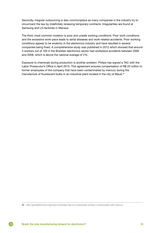Secondly, irregular outsourcing is also commonplace as many companies in the industry try to circumvent the law by indefinitely renewing temporary contracts. Irregularities are found at Samsung and LG factories in Manaus.

The third, most common violation is poor and unsafe working conditions. Poor work conditions and the excessive work-pace leads to serial diseases and work-related accidents. Poor working conditions appear to be endemic in the electronics industry and have resulted in several companies being fined. A comprehensive study was published in 2012 which showed that around 3 workers out of 100 in the Brazilian electronics sector had workplace accidents between 2006 and 2008, which is above the national average of 2%.

Exposure to chemicals during production is another problem. Philips has signed a TAC with the Labor Prosecutor's Office in April 2015. This agreement ensures compensation of R\$ 20 million to former employees of the company that have been contaminated by mercury during the manufacture of fluorescent bulbs in an industrial plant located in the city of Mauá.<sup>34</sup>

<sup>34</sup> http://goodelectronics.org/news-en/philips-has-to-compensate-workers-contaminated-with-mercury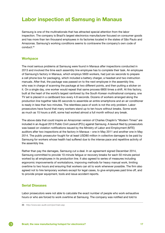# <span id="page-16-0"></span>Labor inspection at Samsung in Manaus

Samsung is one of the multinationals that has attracted special attention from the labor inspection. The company is Brazil's largest electronics manufacturer focused on consumer goods and has more than ten thousand employees in its factories located in the states of São Paulo and Amazonas. Samsung's working conditions seems to contravene the company's own code of conduct.35

#### **Workpace**

The most serious problems at Samsung were found in Manaus after inspections conducted in 2013 and involved the time each assembly line employee has to complete their task. An employee of Samsung's factory in Manaus, which employs 5600 workers, had just six seconds to prepare a cell phone box for packaging, which included a battery charger, a headset and two instruction manuals. After that, the package was passed on to the next employee in the assembly line, who was in charge of scanning the package at two different points, and then putting a sticker on it. On a single day, one worker would repeat that same process 6800 times a shift. At this factory, built at the heart of the world's largest rainforest by the South Korean multinational company, one TV set is placed in a cardboard box every 4.8 seconds. Dozens of workers arranged along the production line together take 85 seconds to assemble an entire smartphone and an air conditioner is ready in less than two minutes. The relentless pace of work is not the only problem. Labor prosecutors have found that many workers stand up to ten hours without breaks. Some work as much as 15 hours a shift, some had worked almost a full month without any break.

The above data that could inspire an Amazonian version of Charles Chaplin's "Modern Times" are included in an August 2013 Public Civil Lawsuit (PCL) against Samsung. A lawsuit filed by prosecutors was based on violation notifications issued by the Ministry of Labor and Employment (MTE) auditors after two inspections at the factory in Manaus – one in May 2011 and another one in May 2014. The public prosecutor fought for at least USD80 million in collective damages to be paid by Samsung for workers whose health had suffered due to the intense pace and repetitive activity of the assembly line.

Rather than pay the damages, Samsung cut a deal. In an agreement signed December 2014, Samsung committed to provide 10-minute fatigue or recovery breaks for each 50 minute period worked by all employees in its production line. It also agreed to series of measures including ergonomic improvements of workstations, improving methods for heavy manual work, limiting overtime to two hours and ensuring that workers can sit to work whenever possible. The firm also agreed not to hire temporary workers except for legal cases, to give employees paid time off, and to provide proper equipment, tools and issue accident reports.

#### Serial Diseases

G

Labor prosecutors were not able to calculate the exact number of people who work exhaustive hours or who are forced to work overtime at Samsung. The company was notified and told to

<sup>35</sup> http://www.sec-audit.com/por/main.asp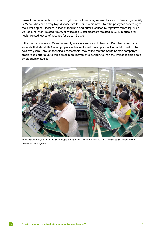present the documentation on working hours, but Samsung refused to show it. Samsung's facility in Manaus has had a very high disease rate for some years now. Over the past year, according to the lawsuit spinal illnesses, cases of tendinitis and bursitis caused by repetitive stress injury, as well as other work-related MSDs, or musculoskeletal disorders resulted in 2,018 requests for health-related leaves of absence for up to 15 days.

If the mobile phone and TV set assembly work system are not changed, Brazilian prosecutors estimate that about 20% of employees in this sector will develop some kind of MSD within the next five years. Through technical assessments, they found that the South Korean company's employees perform up to three times more movements per minute than the limit considered safe by ergonomic studies.



*Workers stand for up to ten hours, according to labor prosecutors. Photo: Alex Pazzuelo, Amazonas State Government Communications Agency*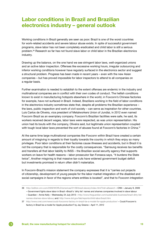# <span id="page-18-0"></span>Labor conditions in Brazil and Brazilian electronics industry – general outlook

Working conditions in Brazil generally are seen as poor. Brazil is one of the worst countries for work-related accidents and severe labour abuse exists. In spite of successful government programs, slave labor has not been completely eradicated and child labor is still a serious problem.36 Research so far has not found slave labor or child labor in the Brazilian electronics industry.

Drawing up the balance, on the one hand we see stringent labor laws, well-organized unions and an active labor inspection. Offenses like excessive working hours, irregular outsourcing and inferior working conditions however have regularly surfaced in the electronics sector and suggest a structural problem. Progress has been made in recent years – even with the new Asian companies – but has proved impossible for labor inspectors to attend to all companies on a regular basis.

Further examination is needed to establish to the extent offenses are endemic in the industry and multinational companies are in conflict with their own codes of conduct. The hellish conditions known to exist in manufacturing hotspots elsewhere in the world, in Foxconn's Chinese factories for example, have not surfaced in Brazil. Indeed, Brazilians working in the field of labor conditions in the electronics industry sometimes state that, despite all problems the Brazilian experience – the laws, public inspection and work of civil society – can serve as inspiration for other countries. Luis Carlos de Oliveira, vice president of Metalworkers Union of Jundiai, in 2012 even named Foxconn Brazil as an exemplary company. Foxconn's Brazilian facilities were safe, he said, its workers received decent wages, labor laws were respected, as was union representation. His union had its bouts with the company, Oliveira said, but legitimate union representation coupled with tough local labor laws prevented the sort of abuses found at Foxconn's factories in China.<sup>37</sup>

At the same time large multinational companies like Foxconn within Brazil have created a certain amount of misgiving in regards to their loyalty towards the country in which they enjoy so many privileges. Poor labor conditions at their factories cause illnesses and accidents, but in Brazil it is not the company that is responsible for the costly consequences. "Samsung receives tax benefits and transfers all that labor liability to INSS – the Brazilian social security agency that supports workers on leave for health reasons – labor prosecutor Ilan Fonseca says, "it burdens the State twice", Another misgiving is that massive tax-cuts have widened government budget deficit but investments promised in return often didn't materialize.

In Foxconn-Brazil's mission statement the company expresses that it is "carries out projects of citizenship, development of young people for the labor market integration of the disabled and social campaigns in favor of the regions where entities is located", and that to Foxconn integration

<sup>36</sup> http://edition.cnn.com/2009/WORLD/americas/01/09/brazil.slavery/index.html?iref=allsearch – CNN – January 9, 2009 – Government fights slave labor in Brazil +Brazil's 'dirty list' names and shames companies involved in slave labour – Guardian – Annie Kelly – Wednesday 24 July 2013 – [http://www.theguardian.com/sustainable-business/brazil-dirty-list](http://www.theguardian.com/sustainable-business/brazil-dirty-list-names-shames-slave-labour)[names-shames-slave-labour,](http://www.theguardian.com/sustainable-business/brazil-dirty-list-names-shames-slave-labour) and: http://www.dol.gov/ilab/reports/child-labor/brazil.htm

<sup>37</sup> <http://www.cnet.com/news/could-foxconns-factory-in-brazil-be-a-model-for-apple-production/>– Could Foxconn's factory in Brazil be a model for Apple production? by Jay Greene – April 11, 2012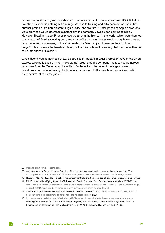in the community is of great importance.<sup>38</sup> The reality is that Foxconn's promised USD 12 billion investments so far is nothing but a mirage. Access to training and advancement opportunities, another promise, are non-existent. High-quality jobs are rare.<sup>39</sup> Retail prices of Apple's products were promised would decrease substantially, the company vowed upon coming to Brazil. However, Brazilian-made IPhones prices are among the highest in the world, which puts them out of the reach of Brazil's working poor, and most of its own employees would struggle to come up with the money, since many of the jobs created by Foxconn pay little more than minimum wage.<sup>40 41</sup> MNC's reap the benefits offered, but in their policies the society that welcomes them is of no importance, it is said.42

When layoffs were announced at LG-Electronics in Taubaté in 2012 a representative of the union expressed exactly this sentiment: "We cannot forget that this company has received numerous incentives from the Government to settle in Taubaté, including one of the largest areas of donations ever made in the city. It's time to show respect to the people of Taubaté and fulfill its commitment to create jobs."43

<sup>38</sup> <http://foxconn.com.br/Historia.aspx>

<sup>39</sup> Appleinsider.com, Foxconn angers Brazilian officials with slow manufacturing ramp-up, Monday, April 13, 2015, <http://appleinsider.com/articles/15/04/13/foxconn-angers-brazilian-officials-with-slow-manufacturing-ramp-up>

<sup>40</sup> Reuters – Mon Apr 13, 2015 – Brazil's iPhone investment falls short on promises of jobs, lower prices, by Brad Haynes

<sup>41</sup> Eric Ehrmann – High Flying Apple Hits Turbulence In Brazil, Foxconn's Gou Calls Workers 'Animals' – 07/02/2012 –

[http://www.huffingtonpost.com/eric-ehrmann/apple-brazil-foxconn\\_b\\_1463666.html](http://www.huffingtonpost.com/eric-ehrmann/apple-brazil-foxconn_b_1463666.html) + [http://g1.globo.com/tecnologia/](http://g1.globo.com/tecnologia/noticia/2014/11/apple-vende-no-brasil-os-novos-iphones-mais-caros-do-mundo.html) [noticia/2014/11/apple-vende-no-brasil-os-novos-iphones-mais-caros-do-mundo.html](http://g1.globo.com/tecnologia/noticia/2014/11/apple-vende-no-brasil-os-novos-iphones-mais-caros-do-mundo.html)

<sup>42</sup> o Estadão.com, Samsun e LG desistiram de novas fabricas, 19-01-2015 [http://economia.estadao.com.br/noticias/](http://economia.estadao.com.br/noticias/geral,samsung-e-lg-desistiram-de-novas-fabricas-no-brasil-imp-,1621698) [geral,samsung-e-lg-desistiram-de-novas-fabricas-no-brasil-imp-,1621698](http://economia.estadao.com.br/noticias/geral,samsung-e-lg-desistiram-de-novas-fabricas-no-brasil-imp-,1621698)

<sup>43</sup> <http://www.redebrasilatual.com.br/trabalho/2012/02/metalurgicos-da-lg-de-taubate-aprovam-estado-de-greve> Metalúrgicos da LG de Taubaté aprovam estado de greve, Empresa ameaça cortar efetivo, alegando excesso de funcionários por Redação da RBA publicado 02/02/2012 17:58, última modificação 03/02/2012 10:51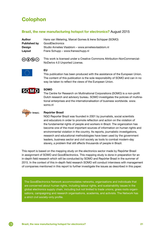# <span id="page-20-0"></span>Colophon

#### Brazil, the new manufacturing hotspot for electronics? August 2015

| Author              | Hans van Wetering, Marcel Gomes & Irene Schipper (SOMO) |
|---------------------|---------------------------------------------------------|
| <b>Published by</b> | GoodElectronics                                         |
| <b>Design</b>       | Studio Annelies Vlasblom - www.anneliesvlasblom.nl      |
| Layout              | Frans Schupp – www.fransschupp.nl                       |
|                     |                                                         |

©⊕®⊜

This work is licensed under a Creative Commons Attribution-NonCommercial-NoDerivs 4.0 Unported License.



#### EU

This publication has been produced with the assistance of the European Union. The content of this publication is the sole responsibility of SOMO and can in no way be taken to reflect the views of the European Union.



#### SOMO

The Centre for Research on Multinational Corporations (SOMO) is a non-profit Dutch research and advisory bureau. SOMO investigates the policies of multinational enterprises and the internationalisation of business worldwide. [www.](http://www.somo.nl) [somo.nl](http://www.somo.nl)



(G)

#### Repórter Brasil

NGO Reporter Brazil was founded in 2001 by journalists, social scientists and educators in order to promote reflection and action on the violation of the fundamental rights of people and workers in Brazil. The organization has become one of the most important sources of information on human rights and environmental violation in the country. Its reports, journalistic investigations, research and educational methodologies have been used by the government leaders, business sector and civil society as tools to combat modern-day slavery, a problem that still affects thousands of people in Brazil.

This report is based on the mapping study on the electronics sector made by Repórter Brasil in assignment of SOMO and GoodElectronics. This mapping study is done in preparation for an in-depth field research which will be conducted by SOMO and Repórter Brasil in the summer of 2015. In the context of this in-depth field research SOMO will conduct interviews with management of companies mentioned in this report to further investigate the issues as described in this paper.

The GoodElectronics Network accommodates networks, organisations and individuals that are concerned about human rights, including labour rights, and sustainability issues in the global electronics supply chain, including but not limited to trade unions, grass roots organisations, campaigning and research organisations, academia, and activists. The Network has a strict civil society-only profile.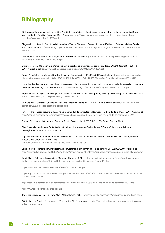# <span id="page-21-0"></span>**Bibliography**

Bibliography Tavares, Walkyria M. Leitão. A indústria eletrônica no Brasil e seu impacto sobre a balança comercial. Study launched by the Brazilian Congress. 2001. Available at [http://www2.camara.leg.br/documentos-e-pesquisa/publicacoes/](http://www2.camara.leg.br/documentos-e-pesquisa/publicacoes/estnottec/arquivos-pdf/pdf/108604.pdf) [estnottec/arquivos-pdf/pdf/108604.pdf](http://www2.camara.leg.br/documentos-e-pesquisa/publicacoes/estnottec/arquivos-pdf/pdf/108604.pdf)

Diagnóstico do Arranjo Produtivo da Indústria do Vale da Eletrônica. Federação das Indústrias do Estado de Minas Gerais. 2007. Available at [http://www.fiemg.org.br/admin/BibliotecaDeArquivos/Image.aspx?ImgId=25018&TabId=11922&portalid=23](http://www.fiemg.org.br/admin/BibliotecaDeArquivos/Image.aspx?ImgId=25018&TabId=11922&portalid=238&mid=27747) [8&mid=27747](http://www.fiemg.org.br/admin/BibliotecaDeArquivos/Image.aspx?ImgId=25018&TabId=11922&portalid=238&mid=27747)

Greater Brazil Plan, Report 2011-14, Govern of Brazil. Available at [http://www.brasilmaior.mdic.gov.br/images/data/201411/](http://www.brasilmaior.mdic.gov.br/images/data/201411/f97a72083144d28b26013b7261e7e06b.pdf) [f97a72083144d28b26013b7261e7e06b.pdf](http://www.brasilmaior.mdic.gov.br/images/data/201411/f97a72083144d28b26013b7261e7e06b.pdf) 

Gutierrez, Regina Maria Vinhais. Complexo eletrônico: Lei de Informática e competitividade. BNDES Setorial 31, p. 5-48, 2010. Avaibable at <http://www.pedbrasil.org.br/ped/artigos/A864C4DD910AFFAA.pdf>

Report A Indústria em Número. Brazilian Industrial Confederation (CNI).May, 2015. Available at [http://arquivos.portaldaindus](http://arquivos.portaldaindustria.com.br/app/cni_estatistica_2/2015/02/11/165/INDUSTRIA_EM_NUMEROS_mai2015_mobile.pdf?r=0.45080128177)[tria.com.br/app/cni\\_estatistica\\_2/2015/02/11/165/INDUSTRIA\\_EM\\_NUMEROS\\_mai2015\\_mobile.pdf?r=0.45080128177](http://arquivos.portaldaindustria.com.br/app/cni_estatistica_2/2015/02/11/165/INDUSTRIA_EM_NUMEROS_mai2015_mobile.pdf?r=0.45080128177)

Jorge, Marina; Dantas, Alex. Investimento estrangeiro direto e inovação: um estudo sobre ramos selecionados da indústria no Brasil. Anpec Meeting 2008. Available at <http://www.anpec.org.br/encontro2008/artigos/200807211355590-.pdf>

Report Manual de Apoio aos Arranjos Produtivos Locais. Ministry of Development, Industry and Foreing Trade.2006. Available at [http://www.mdic.gov.br/arquivos/dwnl\\_1199885181.pdf](http://www.mdic.gov.br/arquivos/dwnl_1199885181.pdf)

Andrade, Ilse Baumegger Silveira de. Processo Produtivo Básico (PPB). 2014. Article available at http://www.liraa.com.br/ conteudo/2562/processo-produtivo-basico-ppb

Petry, Rodrigo. Brasil assume 3º lugar na venda mundial de computador. Newspaper O Estado de S. Paulo. 2011. Available at <http://economia.estadao.com.br/noticias/negocios,brasil-assume-3-lugar-na-venda-mundial-de-computador,80422e>

Ferreira Filho, Manoel Gonçalves. Curso de Direito Constitucional. 35ª Edição – São Paulo, Saraiva, 2009.

Silva Neto, Manoel Jorge e. Proteção Constitucional dos Interesses Trabalhistas – Difusos, Coletivos e Individuais Homogêneos. São Paulo: LTr Editora, 2001.

Logística Reversa de Equipamentos Eletroeletrônicos – Análise de Viabilidade Técnica e Econômica. Brazilian Agency for Industrial Development – ABDI. 2013.

Available at [http://www.mdic.gov.br/arquivos/dwnl\\_1367253180.pdf](http://www.mdic.gov.br/arquivos/dwnl_1367253180.pdf) 

Bampi, Sérgio (coordenador). Perspectivas do investimento em eletrônica. Rio de Janeiro: UFRJ, 2008/2009. Available at [http://www.bndes.gov.br/SiteBNDES/export/sites/default/bndes\\_pt/Galerias/Arquivos/empresa/pesquisa/pib/pib\\_eletronica.pdf](http://www.bndes.gov.br/SiteBNDES/export/sites/default/bndes_pt/Galerias/Arquivos/empresa/pesquisa/pib/pib_eletronica.pdf)

Brazil Blazes Path for Latin American Markets – October 19, 2011, http://www.intelfreepress.com/news/brazil-blazes-pathfor-latin-american-markets/158/ and http://www.abinee.org.br/abinee/decon/decon15.htm

<http://www.pedbrasil.org.br/ped/artigos/A864C4DD910AFFAA.pdf />

http://arquivos.portaldaindustria.com.br/app/cni\_estatistica\_2/2015/02/11/165/INDUSTRIA\_EM\_NUMEROS\_mai2015\_mobile. pdf?r=0.45080128177

http://economia.estadao.com.br/noticias/negocios,brasil-assume-3-lugar-na-venda-mundial-de-computador,80422e

http://www.teleco.com.br/pais/celular.asp

 $\Theta$ 

The Brazil Business – Egil Fujikawa Nes – 10 September 2012 – http://thebrazilbusiness.com/article/manaus-free-trade-zone

PC Business in Brazil – An overview – 28 december 2012, pavanvvyas – http://www.slideshare.net/pavanvvyas/pc-businessin-brazil-an-overview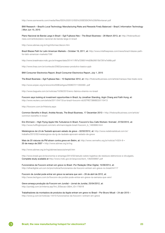http://www.aomevents.com/media/files/ISS%202012/ISS%20SESSION%208/Montanari.pdf

BMI Research – Brazil's Local Technology Manufacturing Risks and Rewards Finely Balanced – Brazil | Information Technology | Mon Jun 15, 2015

Plano Nacional de Banda Larga in Brazil – Egil Fujikawa Nes – The Brazil Business – 28 March 2013, at: http://thebrazilbusiness.com/article/plano-nacional-de-banda-larga-in-brazil

http://www.abinee.org.br/ing/informac/decon.htm

Brazil Blazes Path for Latin American Markets – October 19, 2011, at: http://www.intelfreepress.com/news/brazil-blazes-pathfor-latin-american-markets/158/

http://www.brasilmaior.mdic.gov.br/images/data/201411/f97a72083144d28b26013b7261e7e06b.pdf

http://www.liraa.com.br/conteudo/2562/processo-produtivo-basico-ppb

BMI Consumer Electronics Report, Brazil Consumer Electronics Report, July 1, 2015

The Brazil Business – Egil Fujikawa Nes – 10 September 2012, at: http://thebrazilbusiness.com/article/manaus-free-trade-zone

http://www.anpec.org.br/encontro2008/artigos/200807211355590-.pdf

http://www.baguete.com.br/noticias/10/06/2015/emc-fabrica-xtremio-no-brasil

Foxconn says looking at investment opportunities in Brazil, by Jonathan Standing, Argin Chang and Faith Hung, at: <http://www.reuters.com/article/2011/04/13/us-brazil-foxconn-idUSTRE73B6BD20110413>

http://foxconn.com.br/Historia.aspx

Common Benefits in Brazil, Andréa Novais, The Brazil Business, 17 December 2013 – http://thebrazilbusiness.com/article/ common-benefits-in-brazil

Eric Ehrmann – High Flying Apple Hits Turbulence In Brazil, Foxconn's Gou Calls Workers 'Animals', 07/02/2012, at: http://www.huffingtonpost.com/eric-ehrmann/apple-brazil-foxconn\_b\_1463666.html

Metalúrgicos da LG de Taubaté aprovam estado de greve – 02/02/2012, at: http://www.redebrasilatual.com.br/ trabalho/2012/02/metalurgicos-da-lg-de-taubate-aprovam-estado-de-greve

Mais de 20 viaturas da PM atiram contra greve em Betim, at: http://www.vermelho.org.br/noticia/14324-8 – 20 de março de 2007 – <http://www.abinee.org.br/ing>

http://www.abinee.org.br/ing/abinee/associa/emptl.htm

http://www.brasil.gov.br/economia-e-emprego/2014/02/estudo-sobre-logistica-de-residuos-eletronicos-e-divulgado. Complete study available at http://www.mdic.gov.br/arquivos/dwnl\_1362058667.pdf

Funcionários da Foxconn entram em greve no Brasil -Por Redação Olhar Digital, 15/09/2014, at: http://olhardigital.uol.com.br/pro/noticia/funcionarios-da-foxconn-entram-em-greve-no-brasil/44117

Foxconn de Jundiaí pode entrar em greve na semana que vem – 26 de abril de 2012, at:

http://www.techguru.com.br/foxconn-de-jundiai-pode-entrar-em-greve-na-semana-que-vem/

Greve ameaça produção da Foxconn em Jundiaí – Jornal de Jundiai, 25/04/2012, at: [http://portaljj.com.br/interna.asp?Int\\_IDSecao=3&Int\\_ID=176018](http://portaljj.com.br/interna.asp?Int_IDSecao=3&Int_ID=176018)

Trabalhadores da montadora de produtos da Apple entram em greve no Brasil – Por Bruno Micali – 24 abr 2015 – http://www.jj.com.br/noticias-14410-funcionarios-da-foxconn-i-entram-em-greve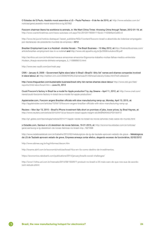O Estadao de S.Paulo, Assédio moral assombra a LG – Paula Pacheco – 8 de fev de 2010, at: http://www.estadao.com.br/ noticias/geral,assedio-moral-assombra-a-lg,507902

Foxconn chairman likens his workforce to animals, in: We Want China Times -Knowing China through Taiwan, 2012-01-19, at: http://www.wantchinatimes.com/news-subclass-cnt.aspx?id=20120119000111&cid=1102&MainCatID=0

http://www.tst.jus.br/noticia-destaque/-/asset\_publisher/NGo1/content/foxconn-brasil-e-absolvida-de-indenizar-empregadopor-declaracao-de-presidente-mundial-da-empresa – 2012

Brazilian Employment Law in a Nutshell –Andréa Novais – The Brazil Business – 15 May 2012, at:http://thebrazilbusiness.com/ article/brazilian-employment-law-in-a-nutshell and<http://www.old.apcefrs.org.br/jb/2009/outubro/09.pdf>

http://acritica.uol.com.br/noticias/manaus-amazonas-amazonia-Ergonomia-trabalho-muitas-falhas-medico-entrevista-Hudson\_Araujo-economia-dinheiro-empregos\_0\_1109889013.html

http://www.sec-audit.com/por/main.asp

CNN – January 9, 2009 – Government fights slave labor in Brazil +Brazil's 'dirty list' names and shames companies involved in slave labour, at:<http://edition.cnn.com/2009/WORLD/americas/01/09/brazil.slavery/index.html?iref=allsearch>

http://www.theguardian.com/sustainable-business/brazil-dirty-list-names-shames-slave-labour [http://www.dol.gov/ilab/](http://www.dol.gov/ilab/reports/child-labor/brazil.htm) [reports/child-labor/brazil.htm](http://www.dol.gov/ilab/reports/child-labor/brazil.htm) – June 24, 2013

Could Foxconn's factory in Brazil be a model for Apple production? by Jay Greene – April 11, 2012, at: http://www.cnet.com/ news/could-foxconns-factory-in-brazil-be-a-model-for-apple-production/

Appleinsider.com, Foxconn angers Brazilian officials with slow manufacturing ramp-up, Monday, April 13, 2015, at: http://appleinsider.com/articles/15/04/13/foxconn-angers-brazilian-officials-with-slow-manufacturing-ramp-up

Reuters – Mon Apr 13, 2015 – Brazil's iPhone investment falls short on promises of jobs, lower prices, by Brad Haynes, at: http://www.reuters.com/article/2015/04/13/us-foxconn-brazil-apple-insight-idUSKBN0N40CP20150413

http://g1.globo.com/tecnologia/noticia/2014/11/apple-vende-no-brasil-os-novos-iphones-mais-caros-do-mundo.html

o Estadão.com, Samsun e LG desistiram de novas fabricas, 19-01-2015, at: http://economia.estadao.com.br/noticias/ geral,samsung-e-lg-desistiram-de-novas-fabricas-no-brasil-imp-,1621698

http://www.redebrasilatual.com.br/trabalho/2012/02/metalurgicos-da-lg-de-taubate-aprovam-estado-de-greve – Metalúrgicos da LG de Taubaté aprovam estado de greve, Empresa ameaça cortar efetivo, alegando excesso de funcionários, 02/02/2012

<http://www.abinee.org.br/ing/informac/decon.htm>

[http://exame.abril.com.br/economia/noticias/brasil-fica-em-5o-como-destino-de-investimentos.](http://exame.abril.com.br/economia/noticias/brasil-fica-em-5o-como-destino-de-investimentos)

<https://economics.rabobank.com/publications/2014/january/brazils-social-challenges/>

[http://www1.folha.uol.com.br/mercado/2014/08/1502977-produzir-no-brasil-e-23-mais-caro-do-que-nos-eua-de-acordo](http://www1.folha.uol.com.br/mercado/2014/08/1502977-produzir-no-brasil-e-23-mais-caro-do-que-nos-eua-de-acordo-com-estudo.shtml)[com-estudo.shtml](http://www1.folha.uol.com.br/mercado/2014/08/1502977-produzir-no-brasil-e-23-mais-caro-do-que-nos-eua-de-acordo-com-estudo.shtml)

 $\Theta$